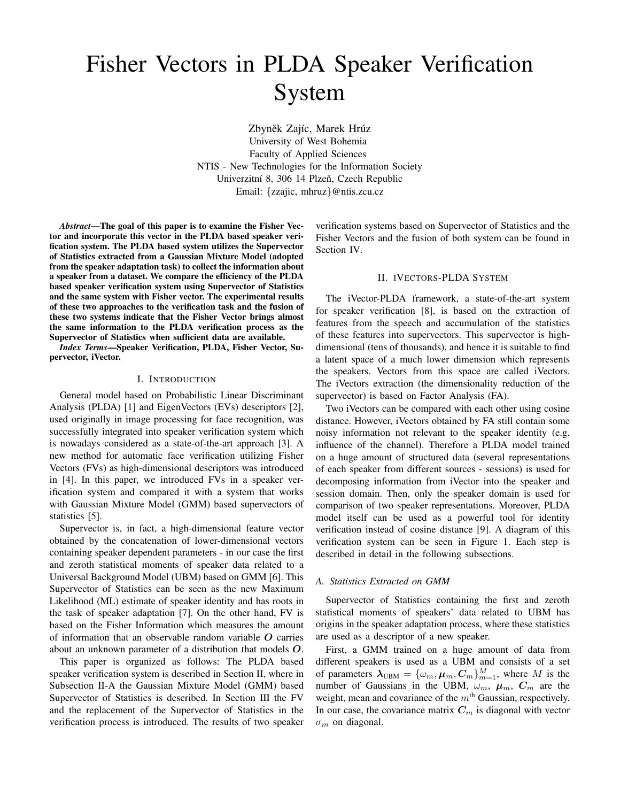# Fisher Vectors in PLDA Speaker Verification System

Zbyněk Zajíc, Marek Hrúz University of West Bohemia Faculty of Applied Sciences NTIS - New Technologies for the Information Society Univerzitní 8, 306 14 Plzeň, Czech Republic Email: {zzajic, mhruz}@ntis.zcu.cz

*Abstract*—The goal of this paper is to examine the Fisher Vector and incorporate this vector in the PLDA based speaker verification system. The PLDA based system utilizes the Supervector of Statistics extracted from a Gaussian Mixture Model (adopted from the speaker adaptation task) to collect the information about a speaker from a dataset. We compare the efficiency of the PLDA based speaker verification system using Supervector of Statistics and the same system with Fisher vector. The experimental results of these two approaches to the verification task and the fusion of these two systems indicate that the Fisher Vector brings almost the same information to the PLDA verification process as the Supervector of Statistics when sufficient data are available.

*Index Terms*—Speaker Verification, PLDA, Fisher Vector, Supervector, iVector.

# I. INTRODUCTION

General model based on Probabilistic Linear Discriminant Analysis (PLDA) [1] and EigenVectors (EVs) descriptors [2], used originally in image processing for face recognition, was successfully integrated into speaker verification system which is nowadays considered as a state-of-the-art approach [3]. A new method for automatic face verification utilizing Fisher Vectors (FVs) as high-dimensional descriptors was introduced in [4]. In this paper, we introduced FVs in a speaker verification system and compared it with a system that works with Gaussian Mixture Model (GMM) based supervectors of statistics [5].

Supervector is, in fact, a high-dimensional feature vector obtained by the concatenation of lower-dimensional vectors containing speaker dependent parameters - in our case the first and zeroth statistical moments of speaker data related to a Universal Background Model (UBM) based on GMM [6]. This Supervector of Statistics can be seen as the new Maximum Likelihood (ML) estimate of speaker identity and has roots in the task of speaker adaptation [7]. On the other hand, FV is based on the Fisher Information which measures the amount of information that an observable random variable  $O$  carries about an unknown parameter of a distribution that models O.

This paper is organized as follows: The PLDA based speaker verification system is described in Section II, where in Subsection II-A the Gaussian Mixture Model (GMM) based Supervector of Statistics is described. In Section III the FV and the replacement of the Supervector of Statistics in the verification process is introduced. The results of two speaker

verification systems based on Supervector of Statistics and the Fisher Vectors and the fusion of both system can be found in Section IV.

## II. IVECTORS-PLDA SYSTEM

The iVector-PLDA framework, a state-of-the-art system for speaker verification [8], is based on the extraction of features from the speech and accumulation of the statistics of these features into supervectors. This supervector is highdimensional (tens of thousands), and hence it is suitable to find a latent space of a much lower dimension which represents the speakers. Vectors from this space are called iVectors. The iVectors extraction (the dimensionality reduction of the supervector) is based on Factor Analysis (FA).

Two iVectors can be compared with each other using cosine distance. However, iVectors obtained by FA still contain some noisy information not relevant to the speaker identity (e.g. influence of the channel). Therefore a PLDA model trained on a huge amount of structured data (several representations of each speaker from different sources - sessions) is used for decomposing information from iVector into the speaker and session domain. Then, only the speaker domain is used for comparison of two speaker representations. Moreover, PLDA model itself can be used as a powerful tool for identity verification instead of cosine distance [9]. A diagram of this verification system can be seen in Figure 1. Each step is described in detail in the following subsections.

#### *A. Statistics Extracted on GMM*

Supervector of Statistics containing the first and zeroth statistical moments of speakers' data related to UBM has origins in the speaker adaptation process, where these statistics are used as a descriptor of a new speaker.

First, a GMM trained on a huge amount of data from different speakers is used as a UBM and consists of a set of parameters  $\lambda_{\text{UBM}} = {\{\omega_m, \mu_m, C_m\}}_{m=1}^M$ , where M is the number of Gaussians in the UBM,  $\omega_m$ ,  $\mu_m$ ,  $C_m$  are the weight, mean and covariance of the  $m<sup>th</sup>$  Gaussian, respectively. In our case, the covariance matrix  $C_m$  is diagonal with vector  $\sigma_m$  on diagonal.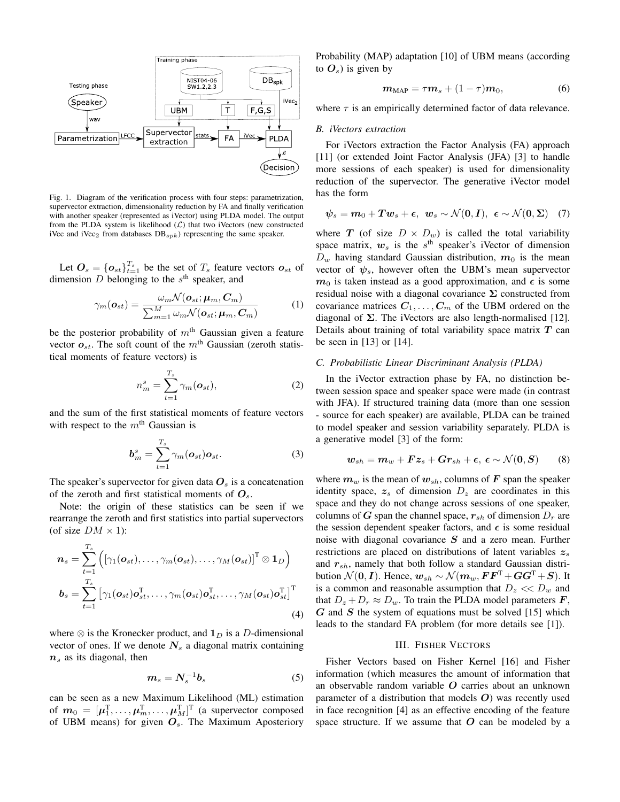

Fig. 1. Diagram of the verification process with four steps: parametrization, supervector extraction, dimensionality reduction by FA and finally verification with another speaker (represented as iVector) using PLDA model. The output from the PLDA system is likelihood  $(\mathcal{L})$  that two iVectors (new constructed iVec and iVec<sub>2</sub> from databases  $DB_{spk}$ ) representing the same speaker.

Let  $\mathbf{O}_s = \{\mathbf{o}_{st}\}_{t=1}^{T_s}$  be the set of  $T_s$  feature vectors  $\mathbf{o}_{st}$  of dimension  $D$  belonging to the  $s<sup>th</sup>$  speaker, and

$$
\gamma_m(\boldsymbol{o}_{st}) = \frac{\omega_m \mathcal{N}(\boldsymbol{o}_{st}; \boldsymbol{\mu}_m, \boldsymbol{C}_m)}{\sum_{m=1}^M \omega_m \mathcal{N}(\boldsymbol{o}_{st}; \boldsymbol{\mu}_m, \boldsymbol{C}_m)}
$$
(1)

be the posterior probability of  $m<sup>th</sup>$  Gaussian given a feature vector  $o_{st}$ . The soft count of the m<sup>th</sup> Gaussian (zeroth statistical moments of feature vectors) is

$$
n_m^s = \sum_{t=1}^{T_s} \gamma_m(\boldsymbol{o}_{st}),
$$
 (2)

and the sum of the first statistical moments of feature vectors with respect to the  $m<sup>th</sup>$  Gaussian is

$$
\boldsymbol{b}_m^s = \sum_{t=1}^{T_s} \gamma_m(\boldsymbol{o}_{st}) \boldsymbol{o}_{st}.
$$
 (3)

The speaker's supervector for given data  $O_s$  is a concatenation of the zeroth and first statistical moments of  $O_s$ .

Note: the origin of these statistics can be seen if we rearrange the zeroth and first statistics into partial supervectors (of size  $DM \times 1$ ):

$$
\boldsymbol{n}_{s} = \sum_{t=1}^{T_{s}} \left( \left[ \gamma_{1}(\boldsymbol{o}_{st}), \ldots, \gamma_{m}(\boldsymbol{o}_{st}), \ldots, \gamma_{M}(\boldsymbol{o}_{st}) \right]^{T} \otimes \mathbf{1}_{D} \right)
$$

$$
\boldsymbol{b}_{s} = \sum_{t=1}^{T_{s}} \left[ \gamma_{1}(\boldsymbol{o}_{st}) \boldsymbol{o}_{st}^{T}, \ldots, \gamma_{m}(\boldsymbol{o}_{st}) \boldsymbol{o}_{st}^{T}, \ldots, \gamma_{M}(\boldsymbol{o}_{st}) \boldsymbol{o}_{st}^{T} \right]^{T} \tag{4}
$$

where  $\otimes$  is the Kronecker product, and  $\mathbf{1}_D$  is a D-dimensional vector of ones. If we denote  $N_s$  a diagonal matrix containing  $n<sub>s</sub>$  as its diagonal, then

$$
m_s = N_s^{-1}b_s \tag{5}
$$

can be seen as a new Maximum Likelihood (ML) estimation of  $m_0 = [\mu_1^{\mathrm{T}}, \ldots, \mu_m^{\mathrm{T}}, \ldots, \mu_M^{\mathrm{T}}]^{\mathrm{T}}$  (a supervector composed of UBM means) for given  $O<sub>s</sub>$ . The Maximum Aposteriory

Probability (MAP) adaptation [10] of UBM means (according to  $O_s$ ) is given by

$$
m_{\text{MAP}} = \tau m_s + (1 - \tau) m_0, \tag{6}
$$

where  $\tau$  is an empirically determined factor of data relevance.

#### *B. iVectors extraction*

For iVectors extraction the Factor Analysis (FA) approach [11] (or extended Joint Factor Analysis (JFA) [3] to handle more sessions of each speaker) is used for dimensionality reduction of the supervector. The generative iVector model has the form

$$
\psi_s = m_0 + Tw_s + \epsilon, \ \ w_s \sim \mathcal{N}(0, I), \ \ \epsilon \sim \mathcal{N}(0, \Sigma) \quad (7)
$$

where T (of size  $D \times D_w$ ) is called the total variability space matrix,  $w_s$  is the  $s<sup>th</sup>$  speaker's iVector of dimension  $D_w$  having standard Gaussian distribution,  $m_0$  is the mean vector of  $\psi_s$ , however often the UBM's mean supervector  $m_0$  is taken instead as a good approximation, and  $\epsilon$  is some residual noise with a diagonal covariance  $\Sigma$  constructed from covariance matrices  $C_1, \ldots, C_m$  of the UBM ordered on the diagonal of  $\Sigma$ . The iVectors are also length-normalised [12]. Details about training of total variability space matrix  $T$  can be seen in [13] or [14].

## *C. Probabilistic Linear Discriminant Analysis (PLDA)*

In the iVector extraction phase by FA, no distinction between session space and speaker space were made (in contrast with JFA). If structured training data (more than one session - source for each speaker) are available, PLDA can be trained to model speaker and session variability separately. PLDA is a generative model [3] of the form:

$$
\mathbf{w}_{sh} = \mathbf{m}_w + \mathbf{F}z_s + \mathbf{G}\mathbf{r}_{sh} + \boldsymbol{\epsilon}, \ \boldsymbol{\epsilon} \sim \mathcal{N}(\mathbf{0}, \mathbf{S}) \tag{8}
$$

where  $m_w$  is the mean of  $w_{sh}$ , columns of F span the speaker identity space,  $z_s$  of dimension  $D_z$  are coordinates in this space and they do not change across sessions of one speaker, columns of G span the channel space,  $r_{sh}$  of dimension  $D_r$  are the session dependent speaker factors, and  $\epsilon$  is some residual noise with diagonal covariance S and a zero mean. Further restrictions are placed on distributions of latent variables  $z_s$ and  $r_{sh}$ , namely that both follow a standard Gaussian distribution  $\mathcal{N}(\mathbf{0}, \mathbf{I})$ . Hence,  $\mathbf{w}_{sh} \sim \mathcal{N}(\mathbf{m}_w, \mathbf{F} \mathbf{F}^{\mathrm{T}} + \mathbf{G} \mathbf{G}^{\mathrm{T}} + \mathbf{S})$ . It is a common and reasonable assumption that  $D_z \ll D_w$  and that  $D_z + D_r \approx D_w$ . To train the PLDA model parameters **F**,  $G$  and  $S$  the system of equations must be solved [15] which leads to the standard FA problem (for more details see [1]).

## III. FISHER VECTORS

Fisher Vectors based on Fisher Kernel [16] and Fisher information (which measures the amount of information that an observable random variable  $O$  carries about an unknown parameter of a distribution that models  $O$ ) was recently used in face recognition [4] as an effective encoding of the feature space structure. If we assume that  $O$  can be modeled by a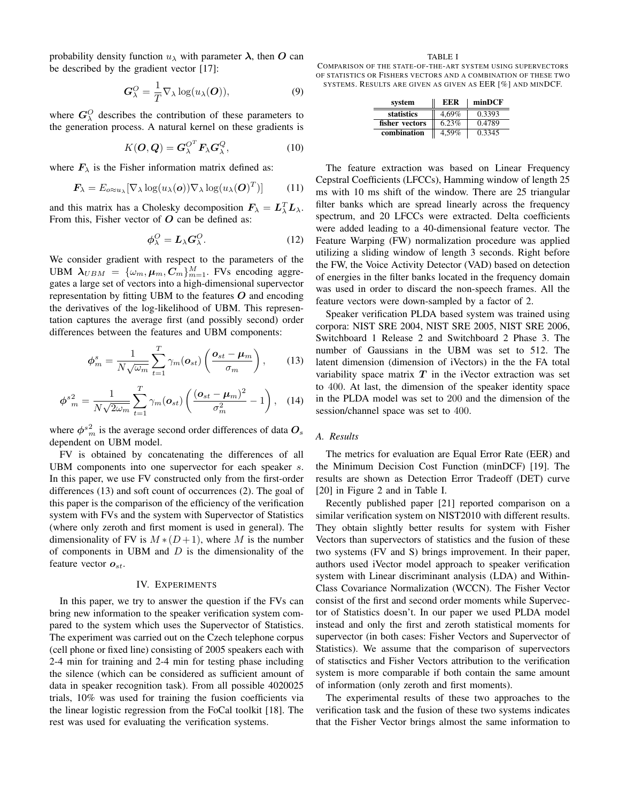probability density function  $u_{\lambda}$  with parameter  $\lambda$ , then O can be described by the gradient vector [17]:

$$
G_{\lambda}^{O} = \frac{1}{T} \nabla_{\lambda} \log(u_{\lambda}(O)), \qquad (9)
$$

where  $G_{\lambda}^{O}$  describes the contribution of these parameters to the generation process. A natural kernel on these gradients is

$$
K(\boldsymbol{O},\boldsymbol{Q})=\boldsymbol{G}_{\lambda}^{O^{T}}\boldsymbol{F}_{\lambda}\boldsymbol{G}_{\lambda}^{Q},
$$
\n(10)

where  $F_{\lambda}$  is the Fisher information matrix defined as:

$$
\boldsymbol{F}_{\lambda} = E_{o \approx u_{\lambda}} [\nabla_{\lambda} \log(u_{\lambda}(o)) \nabla_{\lambda} \log(u_{\lambda}(O)^{T})] \qquad (11)
$$

and this matrix has a Cholesky decomposition  $F_{\lambda} = L_{\lambda}^{T} L_{\lambda}$ . From this, Fisher vector of  $O$  can be defined as:

$$
\phi_{\lambda}^{O} = L_{\lambda} G_{\lambda}^{O}.
$$
 (12)

We consider gradient with respect to the parameters of the UBM  $\lambda_{UBM} = {\{\omega_m, \mu_m, C_m\}}_{m=1}^{M}$ . FVs encoding aggregates a large set of vectors into a high-dimensional supervector representation by fitting UBM to the features  $O$  and encoding the derivatives of the log-likelihood of UBM. This representation captures the average first (and possibly second) order differences between the features and UBM components:

$$
\phi_m^s = \frac{1}{N\sqrt{\omega_m}} \sum_{t=1}^T \gamma_m(\boldsymbol{o}_{st}) \left( \frac{\boldsymbol{o}_{st} - \boldsymbol{\mu}_m}{\sigma_m} \right), \qquad (13)
$$

$$
\phi^{s}_m^2 = \frac{1}{N\sqrt{2\omega_m}} \sum_{t=1}^T \gamma_m(\boldsymbol{o}_{st}) \left( \frac{(\boldsymbol{o}_{st} - \boldsymbol{\mu}_m)^2}{\sigma_m^2} - 1 \right), \quad (14)
$$

where  $\phi^{s_n^2}$  is the average second order differences of data  $O_s$ dependent on UBM model.

FV is obtained by concatenating the differences of all UBM components into one supervector for each speaker s. In this paper, we use FV constructed only from the first-order differences (13) and soft count of occurrences (2). The goal of this paper is the comparison of the efficiency of the verification system with FVs and the system with Supervector of Statistics (where only zeroth and first moment is used in general). The dimensionality of FV is  $M * (D+1)$ , where M is the number of components in UBM and  $D$  is the dimensionality of the feature vector  $o_{st}$ .

#### IV. EXPERIMENTS

In this paper, we try to answer the question if the FVs can bring new information to the speaker verification system compared to the system which uses the Supervector of Statistics. The experiment was carried out on the Czech telephone corpus (cell phone or fixed line) consisting of 2005 speakers each with 2-4 min for training and 2-4 min for testing phase including the silence (which can be considered as sufficient amount of data in speaker recognition task). From all possible 4020025 trials, 10% was used for training the fusion coefficients via the linear logistic regression from the FoCal toolkit [18]. The rest was used for evaluating the verification systems.

TABLE I

COMPARISON OF THE STATE-OF-THE-ART SYSTEM USING SUPERVECTORS OF STATISTICS OR FISHERS VECTORS AND A COMBINATION OF THESE TWO SYSTEMS. RESULTS ARE GIVEN AS GIVEN AS EER [%] AND MINDCF.

| system         | EER   | minDCF |
|----------------|-------|--------|
| statistics     | 4.69% | 0.3393 |
| fisher vectors | 6.23% | 0.4789 |
| combination    | 4,59% | 0.3345 |

The feature extraction was based on Linear Frequency Cepstral Coefficients (LFCCs), Hamming window of length 25 ms with 10 ms shift of the window. There are 25 triangular filter banks which are spread linearly across the frequency spectrum, and 20 LFCCs were extracted. Delta coefficients were added leading to a 40-dimensional feature vector. The Feature Warping (FW) normalization procedure was applied utilizing a sliding window of length 3 seconds. Right before the FW, the Voice Activity Detector (VAD) based on detection of energies in the filter banks located in the frequency domain was used in order to discard the non-speech frames. All the feature vectors were down-sampled by a factor of 2.

Speaker verification PLDA based system was trained using corpora: NIST SRE 2004, NIST SRE 2005, NIST SRE 2006, Switchboard 1 Release 2 and Switchboard 2 Phase 3. The number of Gaussians in the UBM was set to 512. The latent dimension (dimension of iVectors) in the the FA total variability space matrix  $T$  in the iVector extraction was set to 400. At last, the dimension of the speaker identity space in the PLDA model was set to 200 and the dimension of the session/channel space was set to 400.

## *A. Results*

The metrics for evaluation are Equal Error Rate (EER) and the Minimum Decision Cost Function (minDCF) [19]. The results are shown as Detection Error Tradeoff (DET) curve [20] in Figure 2 and in Table I.

Recently published paper [21] reported comparison on a similar verification system on NIST2010 with different results. They obtain slightly better results for system with Fisher Vectors than supervectors of statistics and the fusion of these two systems (FV and S) brings improvement. In their paper, authors used iVector model approach to speaker verification system with Linear discriminant analysis (LDA) and Within-Class Covariance Normalization (WCCN). The Fisher Vector consist of the first and second order moments while Supervector of Statistics doesn't. In our paper we used PLDA model instead and only the first and zeroth statistical moments for supervector (in both cases: Fisher Vectors and Supervector of Statistics). We assume that the comparison of supervectors of statisctics and Fisher Vectors attribution to the verification system is more comparable if both contain the same amount of information (only zeroth and first moments).

The experimental results of these two approaches to the verification task and the fusion of these two systems indicates that the Fisher Vector brings almost the same information to